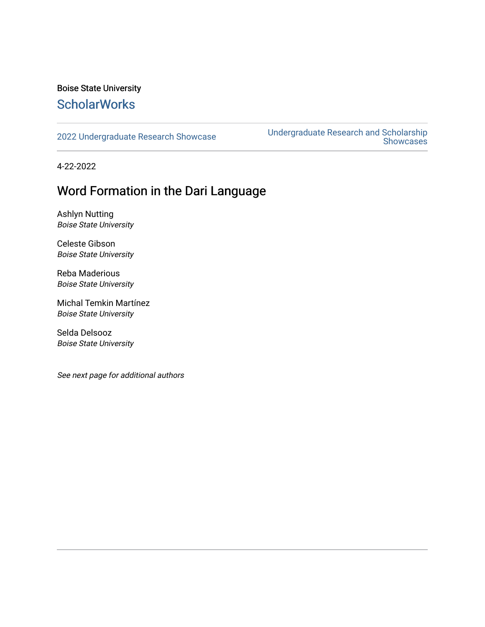### Boise State University **ScholarWorks**

[2022 Undergraduate Research Showcase](https://scholarworks.boisestate.edu/under_showcase_2022) [Undergraduate Research and Scholarship](https://scholarworks.boisestate.edu/under_conference)  Showcases

4-22-2022

### Word Formation in the Dari Language

Ashlyn Nutting Boise State University

Celeste Gibson Boise State University

Reba Maderious Boise State University

Michal Temkin Martínez Boise State University

Selda Delsooz Boise State University

See next page for additional authors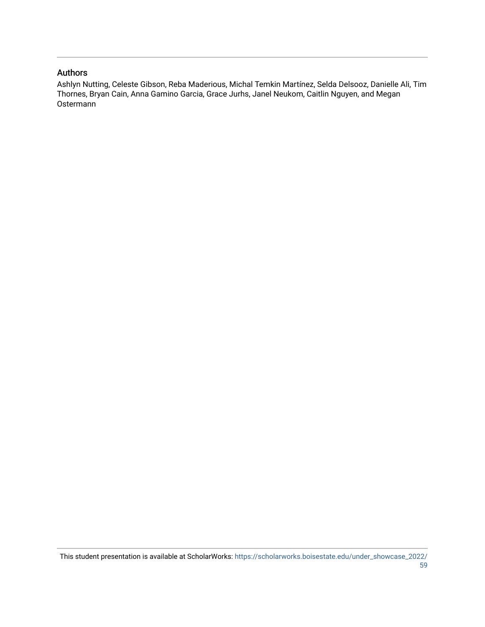### Authors

Ashlyn Nutting, Celeste Gibson, Reba Maderious, Michal Temkin Martínez, Selda Delsooz, Danielle Ali, Tim Thornes, Bryan Cain, Anna Gamino Garcia, Grace Jurhs, Janel Neukom, Caitlin Nguyen, and Megan Ostermann

This student presentation is available at ScholarWorks: [https://scholarworks.boisestate.edu/under\\_showcase\\_2022/](https://scholarworks.boisestate.edu/under_showcase_2022/59) [59](https://scholarworks.boisestate.edu/under_showcase_2022/59)